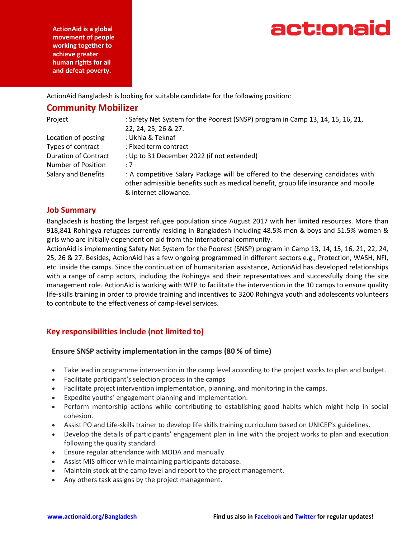act:onaid

**ActionAid is a global movement of people working together to achieve greater human rights for all and defeat poverty.**

ActionAid Bangladesh is looking for suitable candidate for the following position:

# **Community Mobilizer**

| Project                     | : Safety Net System for the Poorest (SNSP) program in Camp 13, 14, 15, 16, 21,<br>22, 24, 25, 26 & 27.                                                                                         |
|-----------------------------|------------------------------------------------------------------------------------------------------------------------------------------------------------------------------------------------|
| Location of posting         | : Ukhia & Teknaf                                                                                                                                                                               |
| Types of contract           | : Fixed term contract                                                                                                                                                                          |
| <b>Duration of Contract</b> | : Up to 31 December 2022 (if not extended)                                                                                                                                                     |
| Number of Position          | :7                                                                                                                                                                                             |
| <b>Salary and Benefits</b>  | : A competitive Salary Package will be offered to the deserving candidates with<br>other admissible benefits such as medical benefit, group life insurance and mobile<br>& internet allowance. |

# **Job Summary**

Bangladesh is hosting the largest refugee population since August 2017 with her limited resources. More than 918,841 Rohingya refugees currently residing in Bangladesh including 48.5% men & boys and 51.5% women & girls who are initially dependent on aid from the international community.

ActionAid is implementing Safety Net System for the Poorest (SNSP) program in Camp 13, 14, 15, 16, 21, 22, 24, 25, 26 & 27. Besides, ActionAid has a few ongoing programmed in different sectors e.g., Protection, WASH, NFI, etc. inside the camps. Since the continuation of humanitarian assistance, ActionAid has developed relationships with a range of camp actors, including the Rohingya and their representatives and successfully doing the site management role. ActionAid is working with WFP to facilitate the intervention in the 10 camps to ensure quality life-skills training in order to provide training and incentives to 3200 Rohingya youth and adolescents volunteers to contribute to the effectiveness of camp-level services.

# **Key responsibilities include (not limited to)**

# **Ensure SNSP activity implementation in the camps (80 % of time)**

- Take lead in programme intervention in the camp level according to the project works to plan and budget.
- Facilitate participant's selection process in the camps
- Facilitate project intervention implementation, planning, and monitoring in the camps.
- Expedite youths' engagement planning and implementation.
- Perform mentorship actions while contributing to establishing good habits which might help in social cohesion.
- Assist PO and Life-skills trainer to develop life skills training curriculum based on UNICEF's guidelines.
- Develop the details of participants' engagement plan in line with the project works to plan and execution following the quality standard.
- Ensure regular attendance with MODA and manually.
- Assist MIS officer while maintaining participants database.
- Maintain stock at the camp level and report to the project management.
- Any others task assigns by the project management.